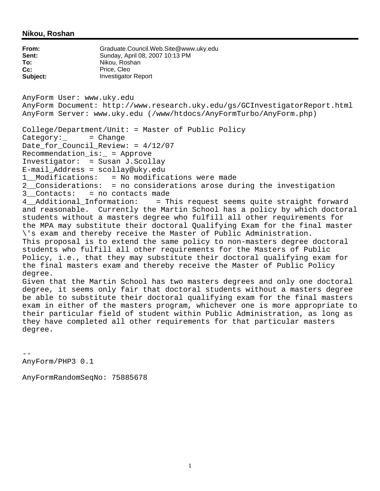### **Nikou, Roshan**

**From:** Graduate.Council.Web.Site@www.uky.edu **Sent:** Sunday, April 08, 2007 10:13 PM<br> **To:** Nikou, Roshan **To:** Nikou, Roshan Cc: Price, Cleo **Subject:** Investigator Report AnyForm User: www.uky.edu AnyForm Document: http://www.research.uky.edu/gs/GCInvestigatorReport.html AnyForm Server: www.uky.edu (/www/htdocs/AnyFormTurbo/AnyForm.php) College/Department/Unit: = Master of Public Policy Category: = Change Date for Council Review: =  $4/12/07$ Recommendation\_is:\_ = Approve Investigator: = Susan J.Scollay E-mail\_Address = scollay@uky.edu = No modifications were made 2\_\_Considerations: = no considerations arose during the investigation 3\_\_Contacts: = no contacts made<br>4\_\_Additional\_Information: = T = This request seems quite straight forward and reasonable. Currently the Martin School has a policy by which doctoral students without a masters degree who fulfill all other requirements for the MPA may substitute their doctoral Qualifying Exam for the final master \'s exam and thereby receive the Master of Public Administration. This proposal is to extend the same policy to non-masters degree doctoral students who fulfill all other requirements for the Masters of Public Policy, i.e., that they may substitute their doctoral qualifying exam for the final masters exam and thereby receive the Master of Public Policy degree. Given that the Martin School has two masters degrees and only one doctoral degree, it seems only fair that doctoral students without a masters degree be able to substitute their doctoral qualifying exam for the final masters exam in either of the masters program, whichever one is more appropriate to their particular field of student within Public Administration, as long as they have completed all other requirements for that particular masters degree.

--

AnyForm/PHP3 0.1

AnyFormRandomSeqNo: 75885678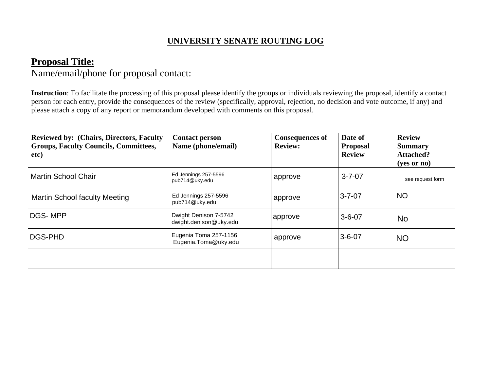# **UNIVERSITY SENATE ROUTING LOG**

# **Proposal Title:**

Name/email/phone for proposal contact:

**Instruction**: To facilitate the processing of this proposal please identify the groups or individuals reviewing the proposal, identify a contact person for each entry, provide the consequences of the review (specifically, approval, rejection, no decision and vote outcome, if any) and please attach a copy of any report or memorandum developed with comments on this proposal.

| <b>Reviewed by: (Chairs, Directors, Faculty)</b><br><b>Groups, Faculty Councils, Committees,</b><br>etc) | <b>Contact person</b><br>Name (phone/email)     | <b>Consequences of</b><br><b>Review:</b> | Date of<br><b>Proposal</b><br><b>Review</b> | <b>Review</b><br><b>Summary</b><br><b>Attached?</b><br>$(yes$ or no) |
|----------------------------------------------------------------------------------------------------------|-------------------------------------------------|------------------------------------------|---------------------------------------------|----------------------------------------------------------------------|
| <b>Martin School Chair</b>                                                                               | Ed Jennings 257-5596<br>pub714@uky.edu          | approve                                  | $3 - 7 - 07$                                | see request form                                                     |
| <b>Martin School faculty Meeting</b>                                                                     | Ed Jennings 257-5596<br>pub714@uky.edu          | approve                                  | $3 - 7 - 07$                                | <b>NO</b>                                                            |
| DGS-MPP                                                                                                  | Dwight Denison 7-5742<br>dwight.denison@uky.edu | approve                                  | $3 - 6 - 07$                                | <b>No</b>                                                            |
| DGS-PHD                                                                                                  | Eugenia Toma 257-1156<br>Eugenia.Toma@uky.edu   | approve                                  | $3 - 6 - 07$                                | <b>NO</b>                                                            |
|                                                                                                          |                                                 |                                          |                                             |                                                                      |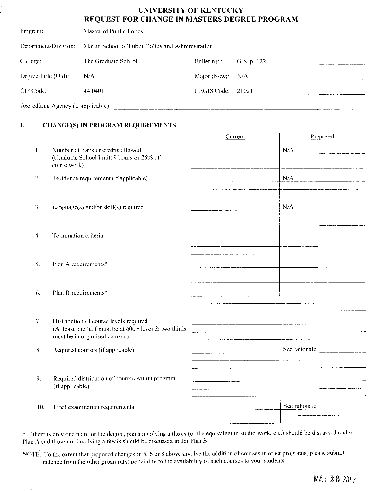## **UNIVERSITY OF KENTUCKY** REQUEST FOR CHANGE IN MASTERS DEGREE PROGRAM

| Program:                            | Master of Public Policy                           |                   |               |  |  |
|-------------------------------------|---------------------------------------------------|-------------------|---------------|--|--|
| Department/Division:                | Martin School of Public Policy and Administration |                   |               |  |  |
| College:                            | The Graduate School                               | Bulletin pp.      | G.S. p. $122$ |  |  |
| Degree Title (Old):                 | N/A                                               | Major (New): N/A  |               |  |  |
| CIP Code:                           | 44.0401                                           | HEGIS Code: 21021 |               |  |  |
| Accrediting Agency (if applicable): |                                                   |                   |               |  |  |

#### L. **CHANGE(S) IN PROGRAM REQUIREMENTS**

|                  |                                                                                                                                    | Current                                                                                                                | Proposed      |
|------------------|------------------------------------------------------------------------------------------------------------------------------------|------------------------------------------------------------------------------------------------------------------------|---------------|
| $\mathbf{I}$ .   | Number of transfer credits allowed<br>(Graduate School limit: 9 hours or 25% of<br>coursework)                                     |                                                                                                                        | N/A           |
| 2.               | Residence requirement (if applicable)                                                                                              |                                                                                                                        | N/A           |
| 3.               | Language(s) and/or skill(s) required                                                                                               |                                                                                                                        | N/A           |
| $\overline{4}$ . | Termination criteria                                                                                                               |                                                                                                                        |               |
| 5.               | Plan A requirements*                                                                                                               |                                                                                                                        |               |
| 6.               | Plan B requirements*                                                                                                               |                                                                                                                        |               |
| 7.               | Distribution of course levels required<br>(At least one half must be at $600+$ level & two thirds<br>must be in organized courses) | <u> 1980 - Andrea Stadt British Andrea Stadt British Andrea Stadt British Andrea Stadt British Andrea Stadt Britis</u> |               |
| 8.               | Required courses (if applicable)                                                                                                   |                                                                                                                        | See rationale |
| 9.               | Required distribution of courses within program<br>(if applicable)                                                                 |                                                                                                                        |               |
| 10.              | Final examination requirements                                                                                                     |                                                                                                                        | See rationale |

\* If there is only one plan for the degree, plans involving a thesis (or the equivalent in studio work, etc.) should be discussed under Plan A and those not involving a thesis should be discussed under Plan B.

NOTE: To the extent that proposed changes in 5, 6 or 8 above involve the addition of courses in other programs, please submit ondence from the other program(s) pertaining to the availability of such courses to your students.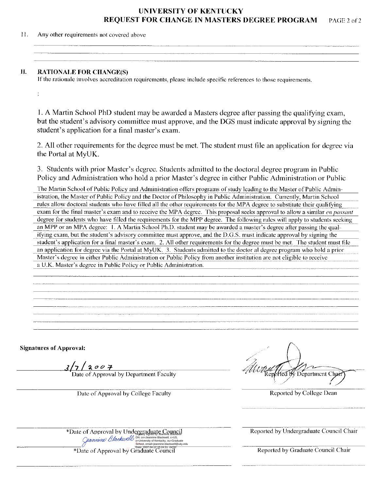### **UNIVERSITY OF KENTUCKY REQUEST FOR CHANGE IN MASTERS DEGREE PROGRAM** PAGE 2 of 2

 $11.$ Any other requirements not covered above

#### П. **RATIONALE FOR CHANGE(S)**

 $\ddot{\phantom{a}}$ 

If the rationale involves accreditation requirements, please include specific references to those requirements.

1. A Martin School PhD student may be awarded a Masters degree after passing the qualifying exam, but the student's advisory committee must approve, and the DGS must indicate approval by signing the student's application for a final master's exam.

2. All other requirements for the degree must be met. The student must file an application for degree via the Portal at MyUK.

3. Students with prior Master's degree. Students admitted to the doctoral degree program in Public Policy and Administration who hold a prior Master's degree in either Public Administration or Public

The Martin School of Public Policy and Administration offers programs of study leading to the Master of Public Administration, the Master of Public Policy and the Doctor of Philosophy in Public Administration. Currently, Martin School rules allow doctoral students who have filled all the other requirements for the MPA degree to substitute their qualifying exam for the final master's exam and to receive the MPA degree. This proposal seeks approval to allow a similar en passant degree for students who have filled the requirements for the MPP degree. The following rules will apply to students seeking an MPP or an MPA degree: 1. A Martin School Ph.D. student may be awarded a master's degree after passing the qualifying exam, but the student's advisory committee must approve, and the D.G.S. must indicate approval by signing the student's application for a final master's exam. 2. All other requirements for the degree must be met. The student must file an application for degree via the Portal at MyUK. 3. Students admitted to the doctor al degree program who hold a prior Master's degree in either Public Administration or Public Policy from another institution are not eligible to receive a U.K. Master's degree in Public Policy or Public Administration.

**Signatures of Approval:** 

 $3/7/3$   $0$   $0$   $7$ <br>Date of Approval by Department Faculty

Date of Approval by College Faculty

Department Chart

Reported by College Dean

\*Date of Approval by Undergraduate Council Care of Approval by Changes and Changes of Marine Blackwell Calls

Reported by Undergraduate Council Chair

Reported by Graduate Council Chair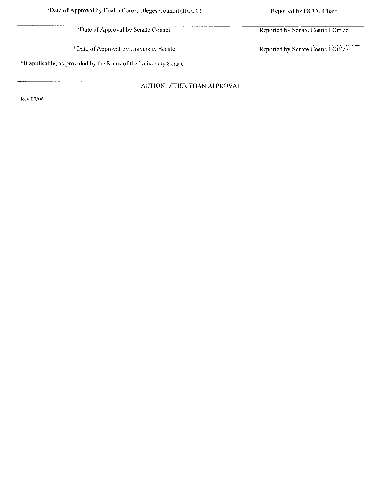\*Date of Approval by Senate Council

\*Date of Approval by University Senate

\*If applicable, as provided by the Rules of the University Senate

**ACTION OTHER THAN APPROVAL** 

Rev 07/06

Reported by Senate Council Office

Reported by Senate Council Office